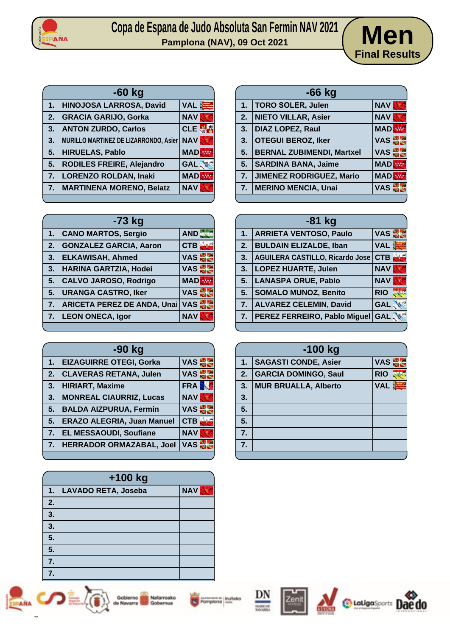

## Copa de Espana de Judo Absoluta San Fermin NAV 2021<br>Pamplona (NAV), 09 Oct 2021



| $-60$ kg |                                       |            |
|----------|---------------------------------------|------------|
| 1.       | HINOJOSA LARROSA, David               | <b>VAL</b> |
| 2.       | <b>GRACIA GARIJO, Gorka</b>           | <b>NAV</b> |
| 3.       | <b>ANTON ZURDO, Carlos</b>            | <b>CLE</b> |
| 3.       | MURILLO MARTINEZ DE LIZARRONDO, Asier | <b>NAV</b> |
| 5.       | <b>HIRUELAS, Pablo</b>                | <b>MAD</b> |
| 5.       | RODILES FREIRE, Alejandro             | <b>GAL</b> |
| 7.       | <b>LORENZO ROLDAN, Inaki</b>          | <b>MAD</b> |
| 7.       | <b>MARTINENA MORENO, Belatz</b>       | <b>NAV</b> |

| $-66$ kg |                                  |               |
|----------|----------------------------------|---------------|
| 1.       | <b>TORO SOLER, Julen</b>         | <b>NAV</b>    |
| 2.       | <b>NIETO VILLAR, Asier</b>       | <b>NAV</b>    |
| 3.       | <b>DIAZ LOPEZ, Raul</b>          | <b>MADR</b>   |
| 3.       | <b>OTEGUI BEROZ, Iker</b>        | <b>VAS AR</b> |
| 5.       | <b>BERNAL ZUBIMENDI, Martxel</b> | <b>VAS</b>    |
| 5.       | <b>SARDINA BANA, Jaime</b>       | <b>MAD</b>    |
| 7.       | <b>JIMENEZ RODRIGUEZ, Mario</b>  | <b>MAD</b>    |
| 7.       | <b>MERINO MENCIA, Unai</b>       | <b>VAS</b>    |

| -73 kg         |                                    |              |
|----------------|------------------------------------|--------------|
| 1.             | <b>CANO MARTOS, Sergio</b>         | AND          |
| 2.             | <b>GONZALEZ GARCIA, Aaron</b>      | CTB          |
| 3.             | <b>ELKAWISAH, Ahmed</b>            | VAS S        |
| 3.             | <b>HARINA GARTZIA, Hodei</b>       | VAS S        |
| 5.             | <b>CALVO JAROSO, Rodrigo</b>       | <b>MAD</b>   |
| 5.             | <b>URANGA CASTRO, Iker</b>         | VAS S        |
| 7 <sub>1</sub> | <b>ARICETA PEREZ DE ANDA, Unai</b> | VAS <b>N</b> |
| 7.             | <b>LEON ONECA, Igor</b>            | <b>NAV</b>   |
|                |                                    |              |

| -90 kg           |                                   |            |
|------------------|-----------------------------------|------------|
| 1.               | <b>EIZAGUIRRE OTEGI, Gorka</b>    | <b>VAS</b> |
| 2.               | <b>CLAVERAS RETANA, Julen</b>     | <b>VAS</b> |
| 3.               | <b>HIRIART, Maxime</b>            | <b>FRA</b> |
| 3.               | <b>MONREAL CIAURRIZ, Lucas</b>    | <b>NAV</b> |
| 5.               | <b>BALDA AIZPURUA, Fermin</b>     | VAS S      |
| 5.               | <b>ERAZO ALEGRIA, Juan Manuel</b> | <b>CTB</b> |
| $\overline{7}$ . | <b>EL MESSAOUDI, Soufiane</b>     | <b>NAV</b> |
| 7.               | <b>HERRADOR ORMAZABAL, Joel</b>   | <b>VAS</b> |
|                  |                                   |            |

| $+100$ kg |                     |            |
|-----------|---------------------|------------|
| 1.        | LAVADO RETA, Joseba | <b>NAV</b> |
| 2.        |                     |            |
| 3.        |                     |            |
| 3.        |                     |            |
| 5.        |                     |            |
| 5.        |                     |            |
| 7.        |                     |            |
|           |                     |            |







**Pampiona** Inuficio









| $-81$ kg |                                        |            |
|----------|----------------------------------------|------------|
| 1.       | <b>ARRIETA VENTOSO, Paulo</b>          | VAS S      |
| 2.       | <b>BULDAIN ELIZALDE, Iban</b>          | <b>VAL</b> |
| 3.       | <b>AGUILERA CASTILLO, Ricardo Jose</b> | <b>CTB</b> |
| 3.       | <b>LOPEZ HUARTE, Julen</b>             | <b>NAV</b> |
| 5.       | <b>LANASPA ORUE, Pablo</b>             | <b>NAV</b> |
| 5.       | <b>SOMALO MUNOZ, Benito</b>            | <b>RIO</b> |
| 7.       | <b>ALVAREZ CELEMIN, David</b>          | <b>GAL</b> |
| 7.       | PEREZ FERREIRO, Pablo Miguel           | <b>GAL</b> |
|          |                                        |            |

| $-100$ kg |                             |            |
|-----------|-----------------------------|------------|
| 1.        | <b>SAGASTI CONDE, Asier</b> | <b>VAS</b> |
| 2.        | <b>GARCIA DOMINGO, Saul</b> | <b>RIO</b> |
| 3.        | <b>MUR BRUALLA, Alberto</b> | <b>VAL</b> |
| 3.        |                             |            |
| 5.        |                             |            |
| 5.        |                             |            |
| 7.        |                             |            |
| 7.        |                             |            |
|           |                             |            |